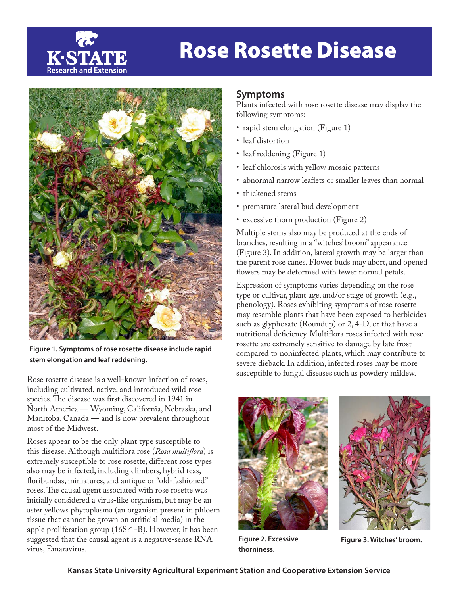

# Rose Rosette Disease



**Figure 1. Symptoms of rose rosette disease include rapid stem elongation and leaf reddening.**

Rose rosette disease is a well-known infection of roses, including cultivated, native, and introduced wild rose species. The disease was first discovered in 1941 in North America — Wyoming, California, Nebraska, and Manitoba, Canada — and is now prevalent throughout most of the Midwest.

Roses appear to be the only plant type susceptible to this disease. Although multiflora rose (*Rosa multiflora*) is extremely susceptible to rose rosette, different rose types also may be infected, including climbers, hybrid teas, floribundas, miniatures, and antique or "old-fashioned" roses. The causal agent associated with rose rosette was initially considered a virus-like organism, but may be an aster yellows phytoplasma (an organism present in phloem tissue that cannot be grown on artificial media) in the apple proliferation group (16Sr1-B). However, it has been suggested that the causal agent is a negative-sense RNA virus, Emaravirus.

### **Symptoms**

Plants infected with rose rosette disease may display the following symptoms:

- rapid stem elongation (Figure 1)
- leaf distortion
- leaf reddening (Figure 1)
- leaf chlorosis with yellow mosaic patterns
- abnormal narrow leaflets or smaller leaves than normal
- thickened stems
- • premature lateral bud development
- excessive thorn production (Figure 2)

Multiple stems also may be produced at the ends of branches, resulting in a "witches' broom" appearance (Figure 3). In addition, lateral growth may be larger than the parent rose canes. Flower buds may abort, and opened flowers may be deformed with fewer normal petals.

Expression of symptoms varies depending on the rose type or cultivar, plant age, and/or stage of growth (e.g., phenology). Roses exhibiting symptoms of rose rosette may resemble plants that have been exposed to herbicides such as glyphosate (Roundup) or 2, 4-D, or that have a nutritional deficiency. Multiflora roses infected with rose rosette are extremely sensitive to damage by late frost compared to noninfected plants, which may contribute to severe dieback. In addition, infected roses may be more susceptible to fungal diseases such as powdery mildew.





**Figure 2. Excessive thorniness.** 

**Figure 3. Witches' broom.**